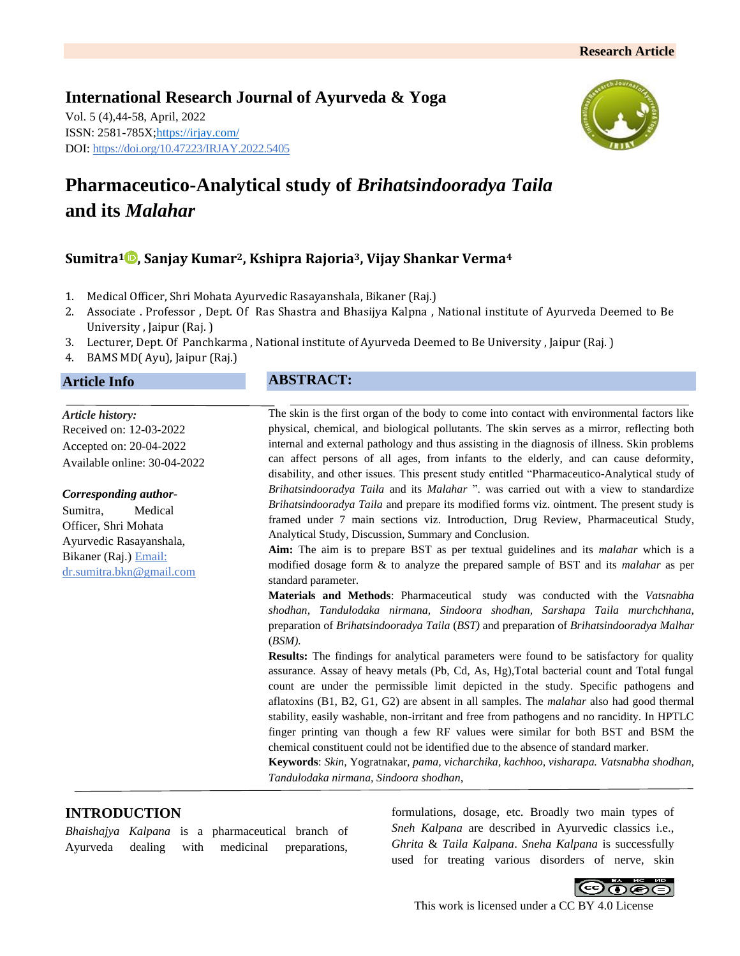# **International Research Journal of Ayurveda & Yoga** Vol. 5 (4),44-58, April, 2022 ISSN: 2581-785X[; https://irjay.com/](https://irjay.com/) DOI: https://doi.org/10.47223/IRJAY.2022.5405



# **Pharmaceutico-Analytical study of** *Brihatsindooradya Taila* **and its** *Malahar*

# **Sumitra<sup>1</sup> , Sanjay Kumar2, Kshipra Rajoria3, Vijay Shankar Verma<sup>4</sup>**

- 1. Medical Officer, Shri Mohata Ayurvedic Rasayanshala, Bikaner (Raj.)
- 2. Associate . Professor , Dept. Of Ras Shastra and Bhasijya Kalpna , National institute of Ayurveda Deemed to Be University , Jaipur (Raj. )
- 3. Lecturer, Dept. Of Panchkarma , National institute of Ayurveda Deemed to Be University , Jaipur (Raj. )
- 4. BAMS MD( Ayu), Jaipur (Raj.)

# **Article Info**

*Article history:* Received on: 12-03-2022 Accepted on: 20-04-2022 Available online: 30-04-2022

*Corresponding author-*Sumitra, Medical

Officer, Shri Mohata Ayurvedic Rasayanshala, Bikaner (Raj.) Email: dr.sumitra.bkn@gmail.com

# **ABSTRACT:**

The skin is the first organ of the body to come into contact with environmental factors like physical, chemical, and biological pollutants. The skin serves as a mirror, reflecting both internal and external pathology and thus assisting in the diagnosis of illness. Skin problems can affect persons of all ages, from infants to the elderly, and can cause deformity, disability, and other issues. This present study entitled "Pharmaceutico-Analytical study of *Brihatsindooradya Taila* and its *Malahar* ". was carried out with a view to standardize *Brihatsindooradya Taila* and prepare its modified forms viz. ointment. The present study is framed under 7 main sections viz. Introduction, Drug Review, Pharmaceutical Study, Analytical Study, Discussion, Summary and Conclusion.

**Aim:** The aim is to prepare BST as per textual guidelines and its *malahar* which is a modified dosage form & to analyze the prepared sample of BST and its *malahar* as per standard parameter.

**Materials and Methods**: Pharmaceutical study was conducted with the *Vatsnabha shodhan, Tandulodaka nirmana, Sindoora shodhan, Sarshapa Taila murchchhana,*  preparation of *Brihatsindooradya Taila* (*BST)* and preparation of *Brihatsindooradya Malhar* (*BSM).*

**Results:** The findings for analytical parameters were found to be satisfactory for quality assurance. Assay of heavy metals (Pb, Cd, As, Hg),Total bacterial count and Total fungal count are under the permissible limit depicted in the study. Specific pathogens and aflatoxins (B1, B2, G1, G2) are absent in all samples. The *malahar* also had good thermal stability, easily washable, non-irritant and free from pathogens and no rancidity. In HPTLC finger printing van though a few RF values were similar for both BST and BSM the chemical constituent could not be identified due to the absence of standard marker.

**Keywords**: *Skin,* Yogratnakar, *pama, vicharchika, kachhoo, visharapa. Vatsnabha shodhan, Tandulodaka nirmana, Sindoora shodhan,* 

# **INTRODUCTION**

*Bhaishajya Kalpana* is a pharmaceutical branch of Ayurveda dealing with medicinal preparations,

formulations, dosage, etc. Broadly two main types of *Sneh Kalpana* are described in Ayurvedic classics i.e., *Ghrita* & *Taila Kalpana*. *Sneha Kalpana* is successfully used for treating various disorders of nerve, skin



This work is licensed under a CC BY 4.0 License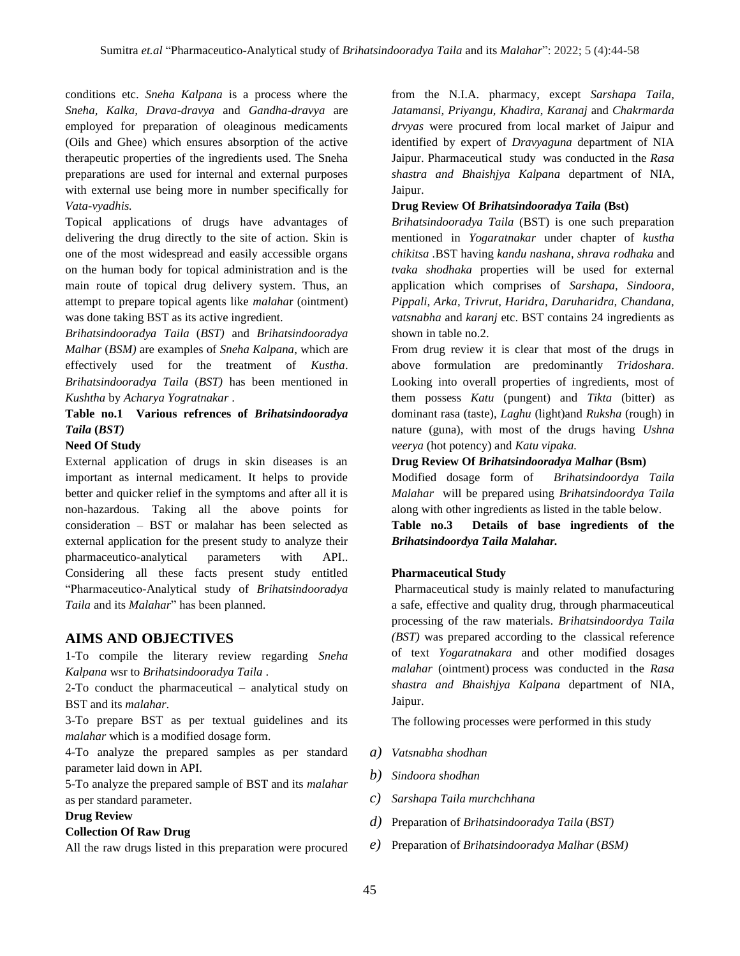conditions etc. *Sneha Kalpana* is a process where the *Sneha, Kalka, Drava-dravya* and *Gandha-dravya* are employed for preparation of oleaginous medicaments (Oils and Ghee) which ensures absorption of the active therapeutic properties of the ingredients used. The Sneha preparations are used for internal and external purposes with external use being more in number specifically for *Vata-vyadhis.*

Topical applications of drugs have advantages of delivering the drug directly to the site of action. Skin is one of the most widespread and easily accessible organs on the human body for topical administration and is the main route of topical drug delivery system. Thus, an attempt to prepare topical agents like *malaha*r (ointment) was done taking BST as its active ingredient.

*Brihatsindooradya Taila* (*BST)* and *Brihatsindooradya Malhar* (*BSM)* are examples of *Sneha Kalpana*, which are effectively used for the treatment of *Kustha*. *Brihatsindooradya Taila* (*BST)* has been mentioned in *Kushtha* by *Acharya Yogratnakar* .

# **Table no.1 Various refrences of** *Brihatsindooradya Taila* **(***BST)*

#### **Need Of Study**

External application of drugs in skin diseases is an important as internal medicament. It helps to provide better and quicker relief in the symptoms and after all it is non-hazardous. Taking all the above points for consideration – BST or malahar has been selected as external application for the present study to analyze their pharmaceutico-analytical parameters with API.. Considering all these facts present study entitled "Pharmaceutico-Analytical study of *Brihatsindooradya Taila* and its *Malahar*" has been planned.

### **AIMS AND OBJECTIVES**

1-To compile the literary review regarding *Sneha Kalpana* wsr to *Brihatsindooradya Taila* .

2-To conduct the pharmaceutical – analytical study on BST and its *malahar*.

3-To prepare BST as per textual guidelines and its *malahar* which is a modified dosage form*.*

4-To analyze the prepared samples as per standard parameter laid down in API.

5-To analyze the prepared sample of BST and its *malahar* as per standard parameter.

#### **Drug Review**

#### **Collection Of Raw Drug**

All the raw drugs listed in this preparation were procured

from the N.I.A. pharmacy, except *Sarshapa Taila, Jatamansi, Priyangu, Khadira*, *Karanaj* and *Chakrmarda drvyas* were procured from local market of Jaipur and identified by expert of *Dravyaguna* department of NIA Jaipur. Pharmaceutical study was conducted in the *Rasa shastra and Bhaishjya Kalpana* department of NIA, Jaipur.

#### **Drug Review Of** *Brihatsindooradya Taila* **(Bst)**

*Brihatsindooradya Taila* (BST) is one such preparation mentioned in *Yogaratnakar* under chapter of *kustha chikitsa .*BST having *kandu nashana*, *shrava rodhaka* and *tvaka shodhaka* properties will be used for external application which comprises of *Sarshapa, Sindoora, Pippali, Arka, Trivrut, Haridra, Daruharidra, Chandana, vatsnabha* and *karanj* etc. BST contains 24 ingredients as shown in table no.2.

From drug review it is clear that most of the drugs in above formulation are predominantly *Tridoshara*. Looking into overall properties of ingredients, most of them possess *Katu* (pungent) and *Tikta* (bitter) as dominant rasa (taste), *Laghu* (light)and *Ruksha* (rough) in nature (guna), with most of the drugs having *Ushna veerya* (hot potency) and *Katu vipaka.*

#### **Drug Review Of** *Brihatsindooradya Malhar* **(Bsm)**

Modified dosage form of *Brihatsindoordya Taila Malahar* will be prepared using *Brihatsindoordya Taila* along with other ingredients as listed in the table below.

**Table no.3 Details of base ingredients of the**  *Brihatsindoordya Taila Malahar.*

#### **Pharmaceutical Study**

Pharmaceutical study is mainly related to manufacturing a safe, effective and quality drug, through pharmaceutical processing of the raw materials. *Brihatsindoordya Taila (BST)* was prepared according to the classical reference of text *Yogaratnakara* and other modified dosages *malahar* (ointment) process was conducted in the *Rasa shastra and Bhaishjya Kalpana* department of NIA, Jaipur.

The following processes were performed in this study

- *a) Vatsnabha shodhan*
- *b) Sindoora shodhan*
- *c) Sarshapa Taila murchchhana*
- *d)* Preparation of *Brihatsindooradya Taila* (*BST)*
- *e)* Preparation of *Brihatsindooradya Malhar* (*BSM)*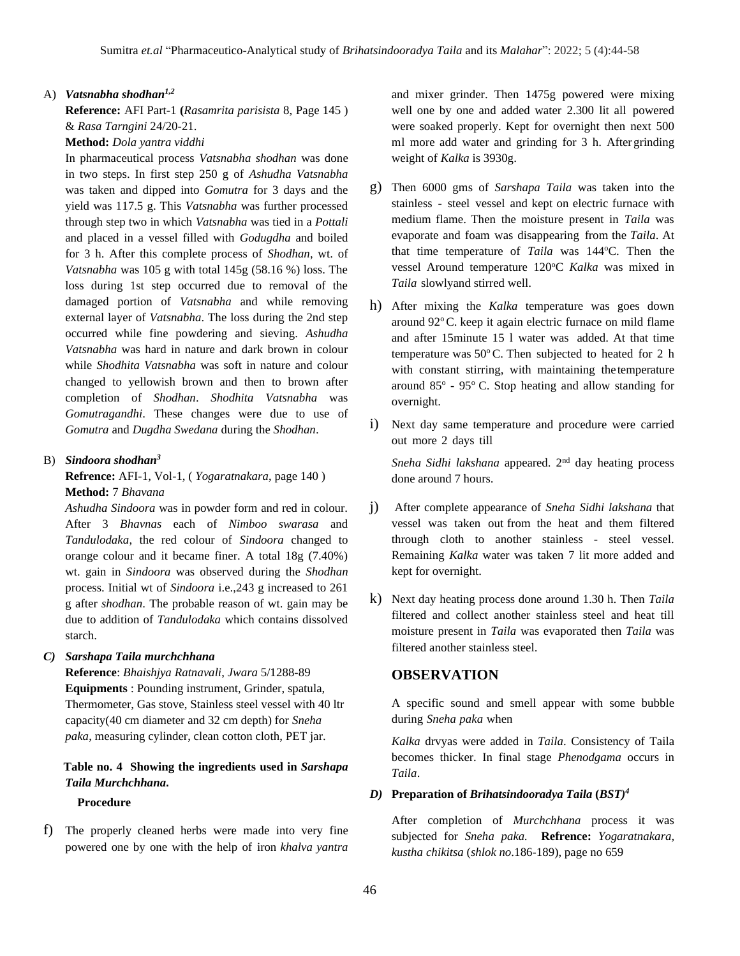#### A) *Vatsnabha shodhan1,2*

**Reference:** AFI Part-1 **(***Rasamrita parisista* 8, Page 145 ) & *Rasa Tarngini* 24/20-21.

#### **Method:** *Dola yantra viddhi*

In pharmaceutical process *Vatsnabha shodhan* was done in two steps. In first step 250 g of *Ashudha Vatsnabha* was taken and dipped into *Gomutra* for 3 days and the yield was 117.5 g. This *Vatsnabha* was further processed through step two in which *Vatsnabha* was tied in a *Pottali* and placed in a vessel filled with *Godugdha* and boiled for 3 h. After this complete process of *Shodhan*, wt. of *Vatsnabha* was 105 g with total 145g (58.16 %) loss. The loss during 1st step occurred due to removal of the damaged portion of *Vatsnabha* and while removing external layer of *Vatsnabha*. The loss during the 2nd step occurred while fine powdering and sieving. *Ashudha Vatsnabha* was hard in nature and dark brown in colour while *Shodhita Vatsnabha* was soft in nature and colour changed to yellowish brown and then to brown after completion of *Shodhan*. *Shodhita Vatsnabha* was *Gomutragandhi*. These changes were due to use of *Gomutra* and *Dugdha Swedana* during the *Shodhan*.

## B) *Sindoora shodhan<sup>3</sup>*

**Refrence:** AFI-1, Vol-1, ( *Yogaratnakara*, page 140 ) **Method:** 7 *Bhavana*

*Ashudha Sindoora* was in powder form and red in colour. After 3 *Bhavnas* each of *Nimboo swarasa* and *Tandulodaka*, the red colour of *Sindoora* changed to orange colour and it became finer. A total 18g (7.40%) wt. gain in *Sindoora* was observed during the *Shodhan* process. Initial wt of *Sindoora* i.e.,243 g increased to 261 g after *shodhan*. The probable reason of wt. gain may be due to addition of *Tandulodaka* which contains dissolved starch.

#### *C) Sarshapa Taila murchchhana*

**Reference**: *Bhaishjya Ratnavali*, *Jwara* 5/1288-89 **Equipments** : Pounding instrument, Grinder, spatula, Thermometer, Gas stove, Stainless steel vessel with 40 ltr capacity(40 cm diameter and 32 cm depth) for *Sneha paka*, measuring cylinder, clean cotton cloth, PET jar.

## **Table no. 4 Showing the ingredients used in** *Sarshapa Taila Murchchhana***.**

#### **Procedure**

f) The properly cleaned herbs were made into very fine powered one by one with the help of iron *khalva yantra* and mixer grinder. Then 1475g powered were mixing well one by one and added water 2.300 lit all powered were soaked properly. Kept for overnight then next 500 ml more add water and grinding for 3 h. After grinding weight of *Kalka* is 3930g.

- g) Then 6000 gms of *Sarshapa Taila* was taken into the stainless - steel vessel and kept on electric furnace with medium flame. Then the moisture present in *Taila* was evaporate and foam was disappearing from the *Taila*. At that time temperature of *Taila* was 144°C. Then the vessel Around temperature 120°C Kalka was mixed in *Taila* slowlyand stirred well.
- h) After mixing the *Kalka* temperature was goes down around  $92^{\circ}$ C. keep it again electric furnace on mild flame and after 15minute 15 l water was added. At that time temperature was  $50^{\circ}$ C. Then subjected to heated for 2 h with constant stirring, with maintaining the temperature around  $85^\circ$  -  $95^\circ$  C. Stop heating and allow standing for overnight.
- i) Next day same temperature and procedure were carried out more 2 days till

*Sneha Sidhi lakshana* appeared. 2nd day heating process done around 7 hours.

- j) After complete appearance of *Sneha Sidhi lakshana* that vessel was taken out from the heat and them filtered through cloth to another stainless - steel vessel. Remaining *Kalka* water was taken 7 lit more added and kept for overnight.
- k) Next day heating process done around 1.30 h. Then *Taila*  filtered and collect another stainless steel and heat till moisture present in *Taila* was evaporated then *Taila* was filtered another stainless steel.

#### **OBSERVATION**

A specific sound and smell appear with some bubble during *Sneha paka* when

*Kalka* drvyas were added in *Taila*. Consistency of Taila becomes thicker. In final stage *Phenodgama* occurs in *Taila*.

#### *D)* **Preparation of** *Brihatsindooradya Taila* **(***BST)<sup>4</sup>*

After completion of *Murchchhana* process it was subjected for *Sneha paka.* **Refrence:** *Yogaratnakara, kustha chikitsa* (*shlok no*.186-189), page no 659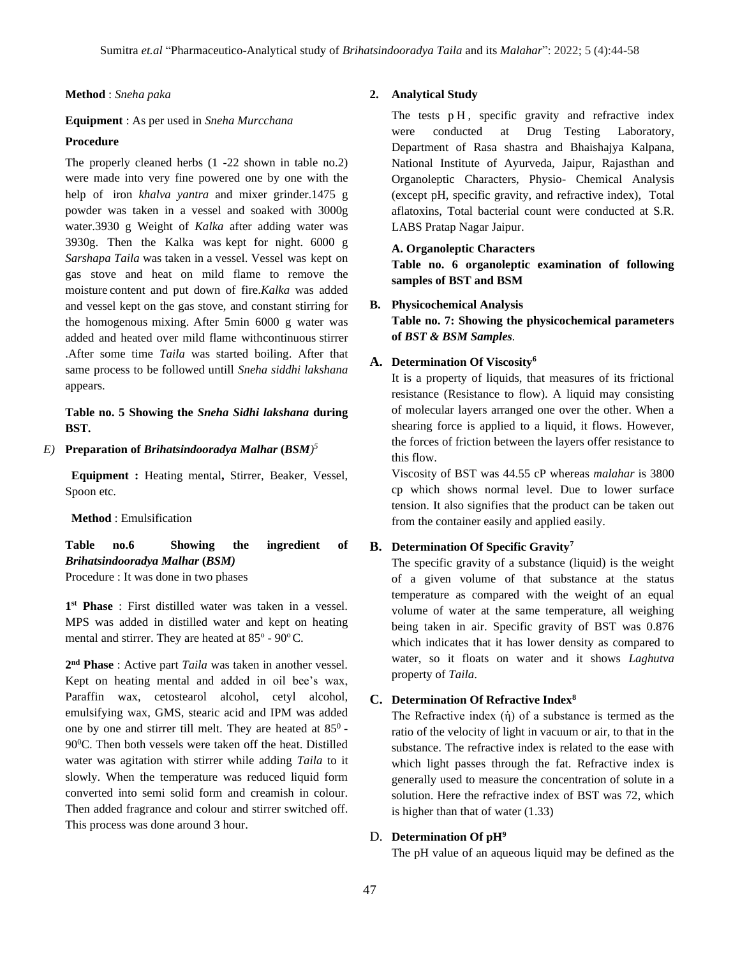#### **Method** : *Sneha paka*

#### **Equipment** : As per used in *Sneha Murcchana*

#### **Procedure**

The properly cleaned herbs (1 -22 shown in table no.2) were made into very fine powered one by one with the help of iron *khalva yantra* and mixer grinder.1475 g powder was taken in a vessel and soaked with 3000g water.3930 g Weight of *Kalka* after adding water was 3930g. Then the Kalka was kept for night. 6000 g *Sarshapa Taila* was taken in a vessel. Vessel was kept on gas stove and heat on mild flame to remove the moisture content and put down of fire.*Kalka* was added and vessel kept on the gas stove, and constant stirring for the homogenous mixing. After 5min 6000 g water was added and heated over mild flame withcontinuous stirrer .After some time *Taila* was started boiling. After that same process to be followed untill *Sneha siddhi lakshana* appears.

## **Table no. 5 Showing the** *Sneha Sidhi lakshana* **during BST.**

#### *E)* **Preparation of** *Brihatsindooradya Malhar* **(***BSM) 5*

 **Equipment :** Heating mental**,** Stirrer, Beaker, Vessel, Spoon etc.

**Method** : Emulsification

**Table no.6 Showing the ingredient of** *Brihatsindooradya Malhar* **(***BSM)*

Procedure : It was done in two phases

**1 st Phase** : First distilled water was taken in a vessel. MPS was added in distilled water and kept on heating mental and stirrer. They are heated at  $85^{\circ}$  -  $90^{\circ}$ C.

**2 nd Phase** : Active part *Taila* was taken in another vessel. Kept on heating mental and added in oil bee's wax, Paraffin wax, cetostearol alcohol, cetyl alcohol, emulsifying wax, GMS, stearic acid and IPM was added one by one and stirrer till melt. They are heated at  $85^\circ$  -90<sup>0</sup>C. Then both vessels were taken off the heat. Distilled water was agitation with stirrer while adding *Taila* to it slowly. When the temperature was reduced liquid form converted into semi solid form and creamish in colour. Then added fragrance and colour and stirrer switched off. This process was done around 3 hour.

#### **2. Analytical Study**

The tests  $pH$ , specific gravity and refractive index were conducted at Drug Testing Laboratory, Department of Rasa shastra and Bhaishajya Kalpana, National Institute of Ayurveda, Jaipur, Rajasthan and Organoleptic Characters, Physio- Chemical Analysis (except pH, specific gravity, and refractive index), Total aflatoxins, Total bacterial count were conducted at S.R. LABS Pratap Nagar Jaipur.

#### **A. Organoleptic Characters**

**Table no. 6 organoleptic examination of following samples of BST and BSM**

## **B. Physicochemical Analysis Table no. 7: Showing the physicochemical parameters of** *BST & BSM Samples.*

#### **A. Determination Of Viscosity<sup>6</sup>**

It is a property of liquids, that measures of its frictional resistance (Resistance to flow). A liquid may consisting of molecular layers arranged one over the other. When a shearing force is applied to a liquid, it flows. However, the forces of friction between the layers offer resistance to this flow.

Viscosity of BST was 44.55 cP whereas *malahar* is 3800 cp which shows normal level. Due to lower surface tension. It also signifies that the product can be taken out from the container easily and applied easily.

#### **B. Determination Of Specific Gravity<sup>7</sup>**

The specific gravity of a substance (liquid) is the weight of a given volume of that substance at the status temperature as compared with the weight of an equal volume of water at the same temperature, all weighing being taken in air. Specific gravity of BST was 0.876 which indicates that it has lower density as compared to water, so it floats on water and it shows *Laghutva* property of *Taila*.

#### **C. Determination Of Refractive Index<sup>8</sup>**

The Refractive index  $(\eta)$  of a substance is termed as the ratio of the velocity of light in vacuum or air, to that in the substance. The refractive index is related to the ease with which light passes through the fat. Refractive index is generally used to measure the concentration of solute in a solution. Here the refractive index of BST was 72, which is higher than that of water (1.33)

#### D. **Determination Of pH<sup>9</sup>**

The pH value of an aqueous liquid may be defined as the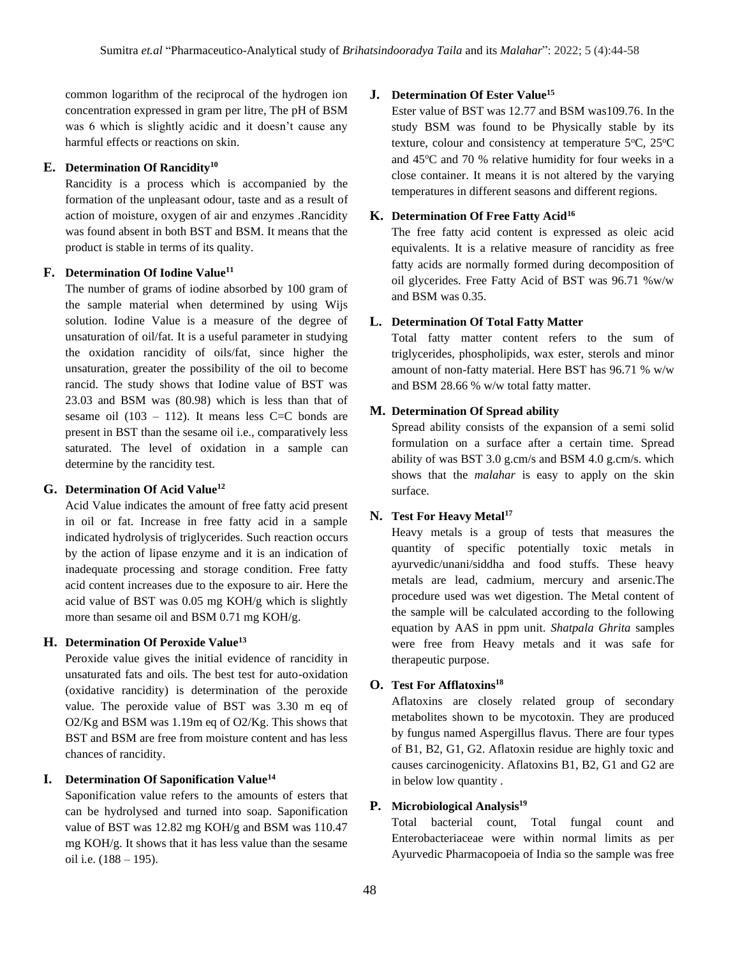common logarithm of the reciprocal of the hydrogen ion concentration expressed in gram per litre, The pH of BSM was 6 which is slightly acidic and it doesn't cause any harmful effects or reactions on skin.

#### **E. Determination Of Rancidity<sup>10</sup>**

Rancidity is a process which is accompanied by the formation of the unpleasant odour, taste and as a result of action of moisture, oxygen of air and enzymes .Rancidity was found absent in both BST and BSM. It means that the product is stable in terms of its quality.

### **F. Determination Of Iodine Value<sup>11</sup>**

The number of grams of iodine absorbed by 100 gram of the sample material when determined by using Wijs solution. Iodine Value is a measure of the degree of unsaturation of oil/fat. It is a useful parameter in studying the oxidation rancidity of oils/fat, since higher the unsaturation, greater the possibility of the oil to become rancid. The study shows that Iodine value of BST was 23.03 and BSM was (80.98) which is less than that of sesame oil  $(103 - 112)$ . It means less C=C bonds are present in BST than the sesame oil i.e., comparatively less saturated. The level of oxidation in a sample can determine by the rancidity test.

## **G. Determination Of Acid Value<sup>12</sup>**

Acid Value indicates the amount of free fatty acid present in oil or fat. Increase in free fatty acid in a sample indicated hydrolysis of triglycerides. Such reaction occurs by the action of lipase enzyme and it is an indication of inadequate processing and storage condition. Free fatty acid content increases due to the exposure to air. Here the acid value of BST was 0.05 mg KOH/g which is slightly more than sesame oil and BSM 0.71 mg KOH/g.

#### **H. Determination Of Peroxide Value<sup>13</sup>**

Peroxide value gives the initial evidence of rancidity in unsaturated fats and oils. The best test for auto-oxidation (oxidative rancidity) is determination of the peroxide value. The peroxide value of BST was 3.30 m eq of O2/Kg and BSM was 1.19m eq of O2/Kg. This shows that BST and BSM are free from moisture content and has less chances of rancidity.

## **I. Determination Of Saponification Value<sup>14</sup>**

Saponification value refers to the amounts of esters that can be hydrolysed and turned into soap. Saponification value of BST was 12.82 mg KOH/g and BSM was 110.47 mg KOH/g. It shows that it has less value than the sesame oil i.e. (188 – 195).

#### **J. Determination Of Ester Value<sup>15</sup>**

Ester value of BST was 12.77 and BSM was109.76. In the study BSM was found to be Physically stable by its texture, colour and consistency at temperature  $5^{\circ}$ C,  $25^{\circ}$ C and  $45^{\circ}$ C and  $70$  % relative humidity for four weeks in a close container. It means it is not altered by the varying temperatures in different seasons and different regions.

#### **K. Determination Of Free Fatty Acid<sup>16</sup>**

The free fatty acid content is expressed as oleic acid equivalents. It is a relative measure of rancidity as free fatty acids are normally formed during decomposition of oil glycerides. Free Fatty Acid of BST was 96.71 %w/w and BSM was 0.35.

#### **L. Determination Of Total Fatty Matter**

Total fatty matter content refers to the sum of triglycerides, phospholipids, wax ester, sterols and minor amount of non-fatty material. Here BST has 96.71 % w/w and BSM 28.66 % w/w total fatty matter.

#### **M. Determination Of Spread ability**

Spread ability consists of the expansion of a semi solid formulation on a surface after a certain time. Spread ability of was BST 3.0 g.cm/s and BSM 4.0 g.cm/s. which shows that the *malahar* is easy to apply on the skin surface.

#### **N. Test For Heavy Metal<sup>17</sup>**

Heavy metals is a group of tests that measures the quantity of specific potentially toxic metals in ayurvedic/unani/siddha and food stuffs. These heavy metals are lead, cadmium, mercury and arsenic.The procedure used was wet digestion. The Metal content of the sample will be calculated according to the following equation by AAS in ppm unit. *Shatpala Ghrita* samples were free from Heavy metals and it was safe for therapeutic purpose.

#### **O. Test For Afflatoxins<sup>18</sup>**

Aflatoxins are closely related group of secondary metabolites shown to be mycotoxin. They are produced by fungus named Aspergillus flavus. There are four types of B1, B2, G1, G2. Aflatoxin residue are highly toxic and causes carcinogenicity. Aflatoxins B1, B2, G1 and G2 are in below low quantity .

#### **P. Microbiological Analysis<sup>19</sup>**

Total bacterial count, Total fungal count and Enterobacteriaceae were within normal limits as per Ayurvedic Pharmacopoeia of India so the sample was free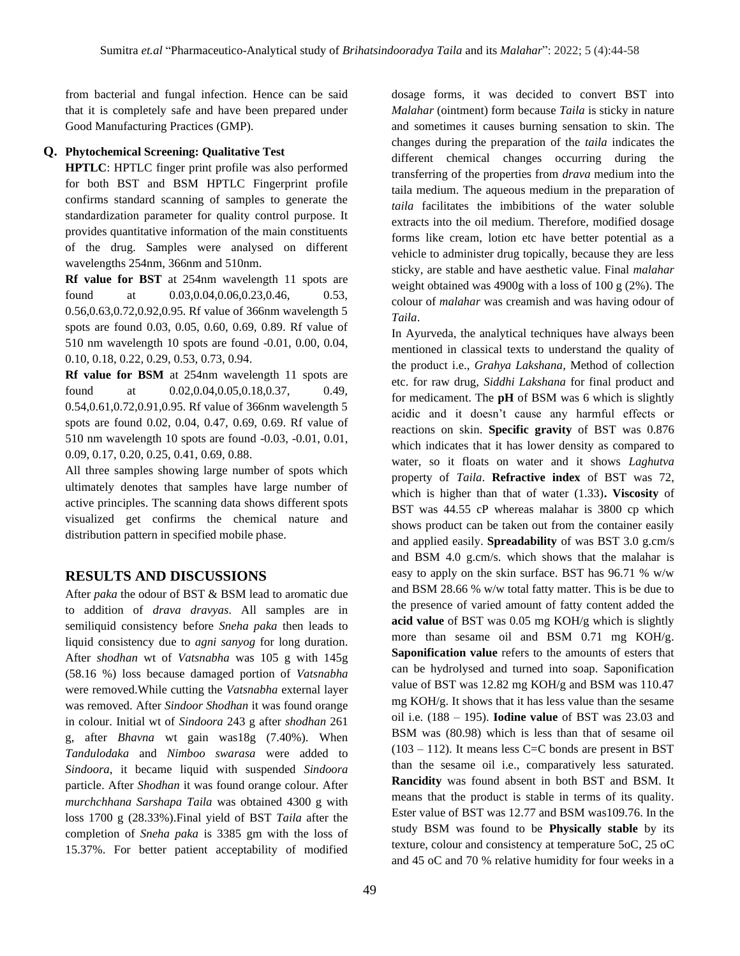from bacterial and fungal infection. Hence can be said that it is completely safe and have been prepared under Good Manufacturing Practices (GMP).

## **Q. Phytochemical Screening: Qualitative Test**

**HPTLC**: HPTLC finger print profile was also performed for both BST and BSM HPTLC Fingerprint profile confirms standard scanning of samples to generate the standardization parameter for quality control purpose. It provides quantitative information of the main constituents of the drug. Samples were analysed on different wavelengths 254nm, 366nm and 510nm.

**Rf value for BST** at 254nm wavelength 11 spots are found at  $0.03, 0.04, 0.06, 0.23, 0.46, 0.53,$ 0.56,0.63,0.72,0.92,0.95. Rf value of 366nm wavelength 5 spots are found 0.03, 0.05, 0.60, 0.69, 0.89. Rf value of 510 nm wavelength 10 spots are found -0.01, 0.00, 0.04, 0.10, 0.18, 0.22, 0.29, 0.53, 0.73, 0.94.

**Rf value for BSM** at 254nm wavelength 11 spots are found at  $0.02, 0.04, 0.05, 0.18, 0.37, 0.49,$ 0.54,0.61,0.72,0.91,0.95. Rf value of 366nm wavelength 5 spots are found 0.02, 0.04, 0.47, 0.69, 0.69. Rf value of 510 nm wavelength 10 spots are found -0.03, -0.01, 0.01, 0.09, 0.17, 0.20, 0.25, 0.41, 0.69, 0.88.

All three samples showing large number of spots which ultimately denotes that samples have large number of active principles. The scanning data shows different spots visualized get confirms the chemical nature and distribution pattern in specified mobile phase.

# **RESULTS AND DISCUSSIONS**

After *paka* the odour of BST & BSM lead to aromatic due to addition of *drava dravyas*. All samples are in semiliquid consistency before *Sneha paka* then leads to liquid consistency due to *agni sanyog* for long duration. After *shodhan* wt of *Vatsnabha* was 105 g with 145g (58.16 %) loss because damaged portion of *Vatsnabha*  were removed.While cutting the *Vatsnabha* external layer was removed. After *Sindoor Shodhan* it was found orange in colour. Initial wt of *Sindoora* 243 g after *shodhan* 261 g, after *Bhavna* wt gain was18g (7.40%). When *Tandulodaka* and *Nimboo swarasa* were added to *Sindoora*, it became liquid with suspended *Sindoora*  particle. After *Shodhan* it was found orange colour. After *murchchhana Sarshapa Taila* was obtained 4300 g with loss 1700 g (28.33%).Final yield of BST *Taila* after the completion of *Sneha paka* is 3385 gm with the loss of 15.37%. For better patient acceptability of modified

dosage forms, it was decided to convert BST into *Malahar* (ointment) form because *Taila* is sticky in nature and sometimes it causes burning sensation to skin. The changes during the preparation of the *taila* indicates the different chemical changes occurring during the transferring of the properties from *drava* medium into the taila medium. The aqueous medium in the preparation of *taila* facilitates the imbibitions of the water soluble extracts into the oil medium. Therefore, modified dosage forms like cream, lotion etc have better potential as a vehicle to administer drug topically, because they are less sticky, are stable and have aesthetic value. Final *malahar* weight obtained was 4900g with a loss of 100 g (2%). The colour of *malahar* was creamish and was having odour of *Taila*.

In Ayurveda, the analytical techniques have always been mentioned in classical texts to understand the quality of the product i.e., *Grahya Lakshana*, Method of collection etc. for raw drug, *Siddhi Lakshana* for final product and for medicament. The **pH** of BSM was 6 which is slightly acidic and it doesn't cause any harmful effects or reactions on skin. **Specific gravity** of BST was 0.876 which indicates that it has lower density as compared to water, so it floats on water and it shows *Laghutva* property of *Taila*. **Refractive index** of BST was 72, which is higher than that of water (1.33)**. Viscosity** of BST was 44.55 cP whereas malahar is 3800 cp which shows product can be taken out from the container easily and applied easily. **Spreadability** of was BST 3.0 g.cm/s and BSM 4.0 g.cm/s. which shows that the malahar is easy to apply on the skin surface. BST has 96.71 % w/w and BSM 28.66 % w/w total fatty matter. This is be due to the presence of varied amount of fatty content added the **acid value** of BST was 0.05 mg KOH/g which is slightly more than sesame oil and BSM 0.71 mg KOH/g. **Saponification value** refers to the amounts of esters that can be hydrolysed and turned into soap. Saponification value of BST was 12.82 mg KOH/g and BSM was 110.47 mg KOH/g. It shows that it has less value than the sesame oil i.e. (188 – 195). **Iodine value** of BST was 23.03 and BSM was (80.98) which is less than that of sesame oil  $(103 - 112)$ . It means less C=C bonds are present in BST than the sesame oil i.e., comparatively less saturated. **Rancidity** was found absent in both BST and BSM. It means that the product is stable in terms of its quality. Ester value of BST was 12.77 and BSM was109.76. In the study BSM was found to be **Physically stable** by its texture, colour and consistency at temperature 5oC, 25 oC and 45 oC and 70 % relative humidity for four weeks in a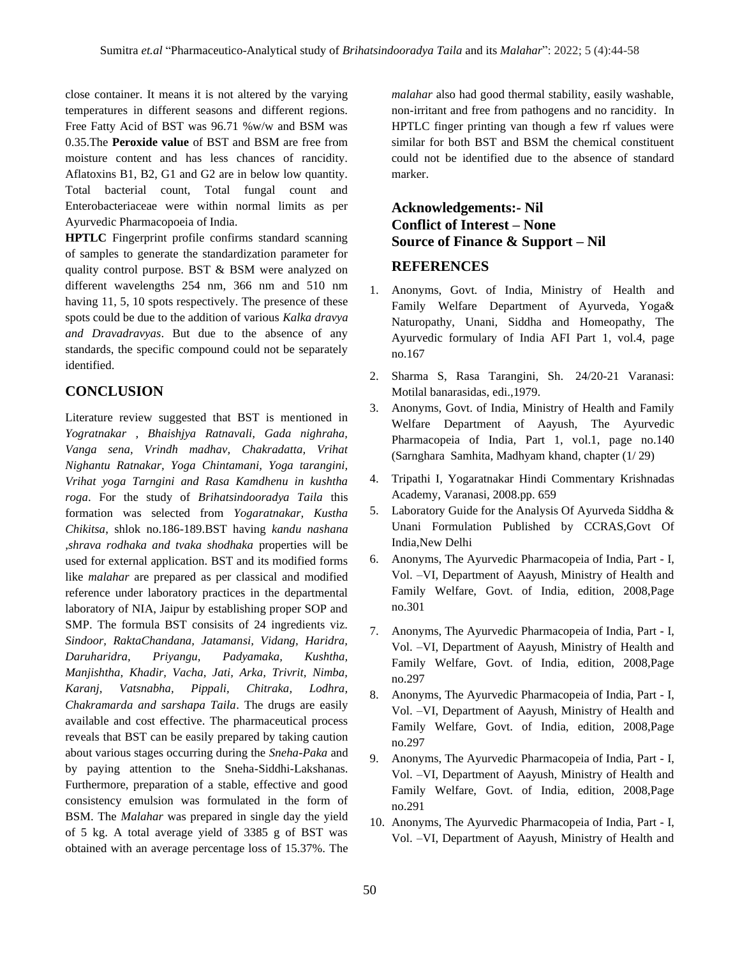close container. It means it is not altered by the varying temperatures in different seasons and different regions. Free Fatty Acid of BST was 96.71 %w/w and BSM was 0.35.The **Peroxide value** of BST and BSM are free from moisture content and has less chances of rancidity. Aflatoxins B1, B2, G1 and G2 are in below low quantity. Total bacterial count, Total fungal count and Enterobacteriaceae were within normal limits as per Ayurvedic Pharmacopoeia of India.

**HPTLC** Fingerprint profile confirms standard scanning of samples to generate the standardization parameter for quality control purpose. BST & BSM were analyzed on different wavelengths 254 nm, 366 nm and 510 nm having 11, 5, 10 spots respectively. The presence of these spots could be due to the addition of various *Kalka dravya and Dravadravyas*. But due to the absence of any standards, the specific compound could not be separately identified.

# **CONCLUSION**

Literature review suggested that BST is mentioned in *Yogratnakar , Bhaishjya Ratnavali, Gada nighraha, Vanga sena, Vrindh madhav, Chakradatta, Vrihat Nighantu Ratnakar, Yoga Chintamani, Yoga tarangini, Vrihat yoga Tarngini and Rasa Kamdhenu in kushtha roga*. For the study of *Brihatsindooradya Taila* this formation was selected from *Yogaratnakar, Kustha Chikitsa*, shlok no.186-189.BST having *kandu nashana ,shrava rodhaka and tvaka shodhaka* properties will be used for external application. BST and its modified forms like *malahar* are prepared as per classical and modified reference under laboratory practices in the departmental laboratory of NIA, Jaipur by establishing proper SOP and SMP. The formula BST consisits of 24 ingredients viz. *Sindoor, RaktaChandana, Jatamansi, Vidang, Haridra, Daruharidra, Priyangu, Padyamaka, Kushtha, Manjishtha, Khadir, Vacha, Jati, Arka, Trivrit, Nimba, Karanj, Vatsnabha, Pippali, Chitraka, Lodhra, Chakramarda and sarshapa Taila*. The drugs are easily available and cost effective. The pharmaceutical process reveals that BST can be easily prepared by taking caution about various stages occurring during the *Sneha-Paka* and by paying attention to the Sneha-Siddhi-Lakshanas. Furthermore, preparation of a stable, effective and good consistency emulsion was formulated in the form of BSM. The *Malahar* was prepared in single day the yield of 5 kg. A total average yield of 3385 g of BST was obtained with an average percentage loss of 15.37%. The *malahar* also had good thermal stability, easily washable, non-irritant and free from pathogens and no rancidity. In HPTLC finger printing van though a few rf values were similar for both BST and BSM the chemical constituent could not be identified due to the absence of standard marker.

# **Acknowledgements:- Nil Conflict of Interest – None Source of Finance & Support – Nil**

# **REFERENCES**

- 1. Anonyms, Govt. of India, Ministry of Health and Family Welfare Department of Ayurveda, Yoga& Naturopathy, Unani, Siddha and Homeopathy, The Ayurvedic formulary of India AFI Part 1, vol.4, page no.167
- 2. Sharma S, Rasa Tarangini, Sh. 24/20-21 Varanasi: Motilal banarasidas, edi.,1979.
- 3. Anonyms, Govt. of India, Ministry of Health and Family Welfare Department of Aayush, The Ayurvedic Pharmacopeia of India, Part 1, vol.1, page no.140 (Sarnghara Samhita, Madhyam khand, chapter (1/ 29)
- 4. Tripathi I, Yogaratnakar Hindi Commentary Krishnadas Academy, Varanasi, 2008.pp. 659
- 5. Laboratory Guide for the Analysis Of Ayurveda Siddha & Unani Formulation Published by CCRAS,Govt Of India,New Delhi
- 6. Anonyms, The Ayurvedic Pharmacopeia of India, Part I, Vol. –VI, Department of Aayush, Ministry of Health and Family Welfare, Govt. of India, edition, 2008,Page no.301
- 7. Anonyms, The Ayurvedic Pharmacopeia of India, Part I, Vol. –VI, Department of Aayush, Ministry of Health and Family Welfare, Govt. of India, edition, 2008,Page no.297
- 8. Anonyms, The Ayurvedic Pharmacopeia of India, Part I, Vol. –VI, Department of Aayush, Ministry of Health and Family Welfare, Govt. of India, edition, 2008,Page no.297
- 9. Anonyms, The Ayurvedic Pharmacopeia of India, Part I, Vol. –VI, Department of Aayush, Ministry of Health and Family Welfare, Govt. of India, edition, 2008,Page no.291
- 10. Anonyms, The Ayurvedic Pharmacopeia of India, Part I, Vol. –VI, Department of Aayush, Ministry of Health and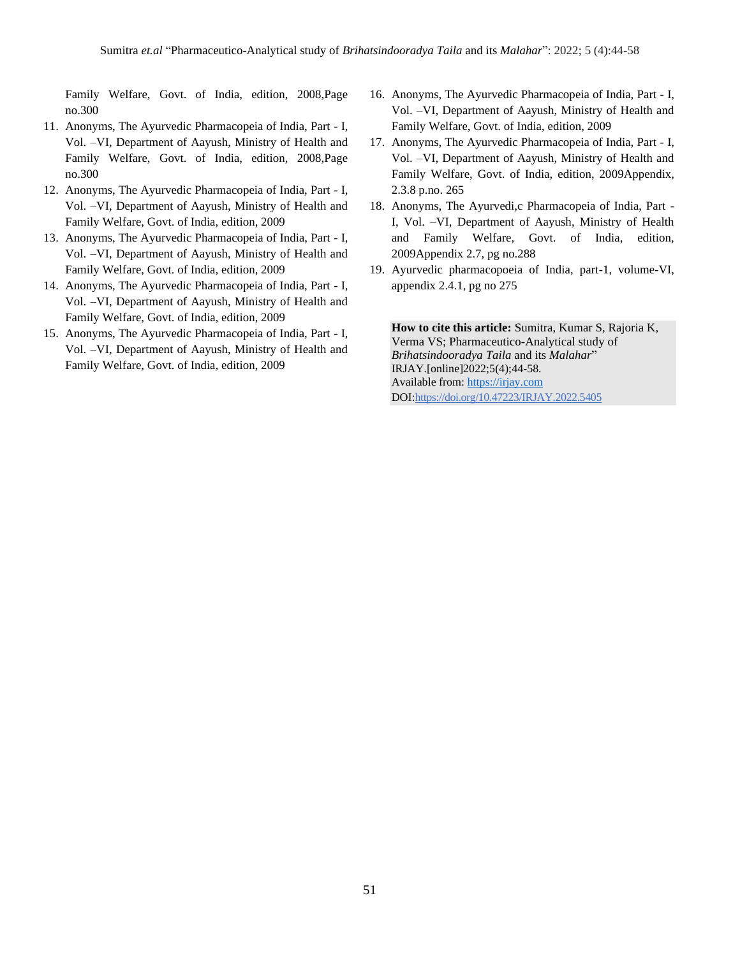Family Welfare, Govt. of India, edition, 2008,Page no.300

- 11. Anonyms, The Ayurvedic Pharmacopeia of India, Part I, Vol. –VI, Department of Aayush, Ministry of Health and Family Welfare, Govt. of India, edition, 2008,Page no.300
- 12. Anonyms, The Ayurvedic Pharmacopeia of India, Part I, Vol. –VI, Department of Aayush, Ministry of Health and Family Welfare, Govt. of India, edition, 2009
- 13. Anonyms, The Ayurvedic Pharmacopeia of India, Part I, Vol. –VI, Department of Aayush, Ministry of Health and Family Welfare, Govt. of India, edition, 2009
- 14. Anonyms, The Ayurvedic Pharmacopeia of India, Part I, Vol. –VI, Department of Aayush, Ministry of Health and Family Welfare, Govt. of India, edition, 2009
- 15. Anonyms, The Ayurvedic Pharmacopeia of India, Part I, Vol. –VI, Department of Aayush, Ministry of Health and Family Welfare, Govt. of India, edition, 2009
- 16. Anonyms, The Ayurvedic Pharmacopeia of India, Part I, Vol. –VI, Department of Aayush, Ministry of Health and Family Welfare, Govt. of India, edition, 2009
- 17. Anonyms, The Ayurvedic Pharmacopeia of India, Part I, Vol. –VI, Department of Aayush, Ministry of Health and Family Welfare, Govt. of India, edition, 2009Appendix, 2.3.8 p.no. 265
- 18. Anonyms, The Ayurvedi,c Pharmacopeia of India, Part I, Vol. –VI, Department of Aayush, Ministry of Health and Family Welfare, Govt. of India, edition, 2009Appendix 2.7, pg no.288
- 19. Ayurvedic pharmacopoeia of India, part-1, volume-VI, appendix 2.4.1, pg no 275

**How to cite this article:** Sumitra, Kumar S, Rajoria K, Verma VS; Pharmaceutico-Analytical study of *Brihatsindooradya Taila* and its *Malahar*" IRJAY.[online]2022;5(4);44-58. Available from: [https://irjay.com](https://irjay.com/) DOI:https://doi.org/10.47223/IRJAY.2022.5405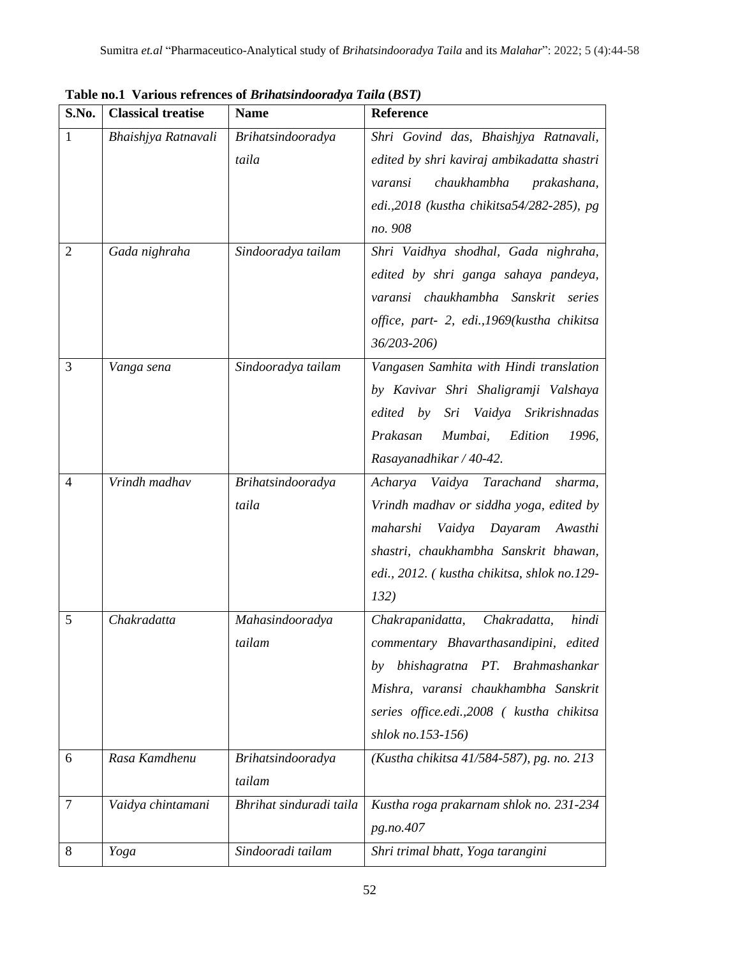| S.No.          | <b>Classical treatise</b> | <b>Name</b>                 | <b>Reference</b>                                                                                                                                                                                                                     |
|----------------|---------------------------|-----------------------------|--------------------------------------------------------------------------------------------------------------------------------------------------------------------------------------------------------------------------------------|
| 1              | Bhaishjya Ratnavali       | Brihatsindooradya<br>taila  | Shri Govind das, Bhaishjya Ratnavali,<br>edited by shri kaviraj ambikadatta shastri<br>chaukhambha<br>prakashana,<br>varansi<br>edi., 2018 (kustha chikitsa 54/282-285), pg<br>no. 908                                               |
| $\overline{2}$ | Gada nighraha             | Sindooradya tailam          | Shri Vaidhya shodhal, Gada nighraha,<br>edited by shri ganga sahaya pandeya,<br>varansi chaukhambha Sanskrit series<br>office, part- 2, edi., 1969(kustha chikitsa<br>36/203-206)                                                    |
| 3              | Vanga sena                | Sindooradya tailam          | Vangasen Samhita with Hindi translation<br>by Kavivar Shri Shaligramji Valshaya<br>Vaidya Srikrishnadas<br>edited by<br>Sri<br>Prakasan<br>Mumbai,<br>Edition<br>1996,<br>Rasayanadhikar / 40-42.                                    |
| $\overline{4}$ | Vrindh madhav             | Brihatsindooradya<br>taila  | Tarachand<br>Vaidya<br>Acharya<br>sharma,<br>Vrindh madhav or siddha yoga, edited by<br>maharshi<br>Vaidya Dayaram<br>Awasthi<br>shastri, chaukhambha Sanskrit bhawan,<br>edi., 2012. (kustha chikitsa, shlok no.129-<br>132)        |
| 5              | Chakradatta               | Mahasindooradya<br>tailam   | Chakradatta,<br>Chakrapanidatta,<br>hindi<br>commentary Bhavarthasandipini, edited<br>bhishagratna PT. Brahmashankar<br>by<br>Mishra, varansi chaukhambha Sanskrit<br>series office.edi.,2008 ( kustha chikitsa<br>shlok no.153-156) |
| 6              | Rasa Kamdhenu             | Brihatsindooradya<br>tailam | (Kustha chikitsa 41/584-587), pg. no. 213                                                                                                                                                                                            |
| $\tau$         | Vaidya chintamani         | Bhrihat sinduradi taila     | Kustha roga prakarnam shlok no. 231-234<br>pg.no.407                                                                                                                                                                                 |
| 8              | Yoga                      | Sindooradi tailam           | Shri trimal bhatt, Yoga tarangini                                                                                                                                                                                                    |

**Table no.1 Various refrences of** *Brihatsindooradya Taila* **(***BST)*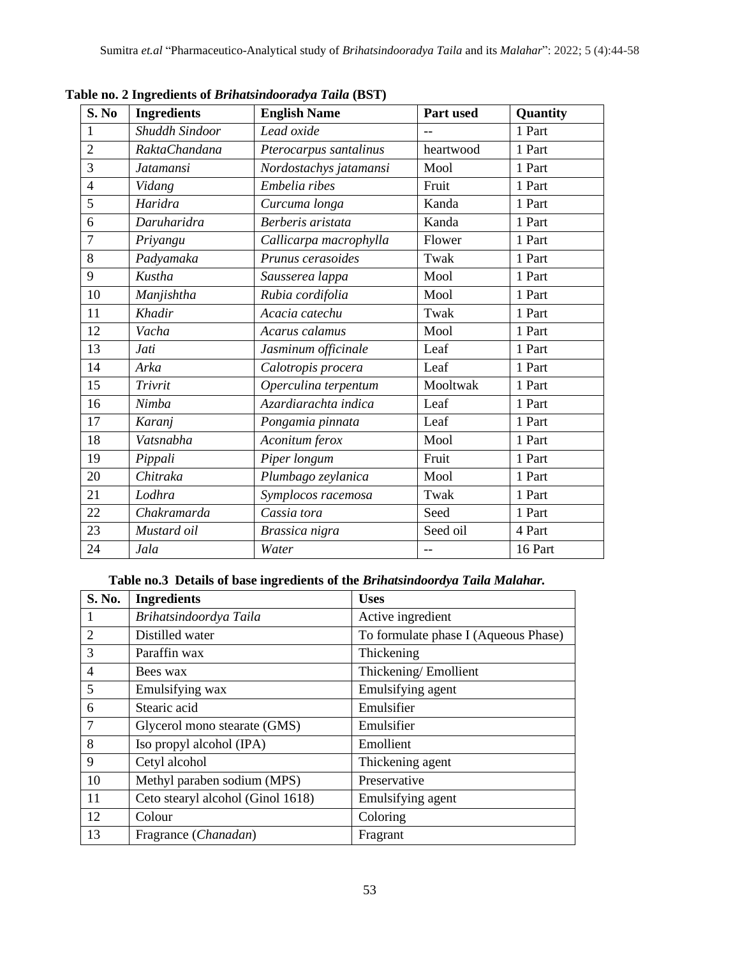| S. No          | <b>Ingredients</b> | <b>English Name</b>    | Part used | Quantity |
|----------------|--------------------|------------------------|-----------|----------|
| 1              | Shuddh Sindoor     | Lead oxide             |           | 1 Part   |
| $\overline{2}$ | RaktaChandana      | Pterocarpus santalinus | heartwood | 1 Part   |
| 3              | <b>Jatamansi</b>   | Nordostachys jatamansi | Mool      | 1 Part   |
| $\overline{4}$ | Vidang             | Embelia ribes          | Fruit     | 1 Part   |
| 5              | Haridra            | Curcuma longa          | Kanda     | 1 Part   |
| 6              | Daruharidra        | Berberis aristata      | Kanda     | 1 Part   |
| $\overline{7}$ | Priyangu           | Callicarpa macrophylla | Flower    | 1 Part   |
| 8              | Padyamaka          | Prunus cerasoides      | Twak      | 1 Part   |
| 9              | Kustha             | Sausserea lappa        | Mool      | 1 Part   |
| 10             | Manjishtha         | Rubia cordifolia       | Mool      | 1 Part   |
| 11             | Khadir             | Acacia catechu         | Twak      | 1 Part   |
| 12             | Vacha              | Acarus calamus         | Mool      | 1 Part   |
| 13             | Jati               | Jasminum officinale    | Leaf      | 1 Part   |
| 14             | Arka               | Calotropis procera     | Leaf      | 1 Part   |
| 15             | Trivrit            | Operculina terpentum   | Mooltwak  | 1 Part   |
| 16             | Nimba              | Azardiarachta indica   | Leaf      | 1 Part   |
| 17             | Karanj             | Pongamia pinnata       | Leaf      | 1 Part   |
| 18             | Vatsnabha          | Aconitum ferox         | Mool      | 1 Part   |
| 19             | Pippali            | Piper longum           | Fruit     | 1 Part   |
| 20             | Chitraka           | Plumbago zeylanica     | Mool      | 1 Part   |
| 21             | Lodhra             | Symplocos racemosa     | Twak      | 1 Part   |
| 22             | Chakramarda        | Cassia tora            | Seed      | 1 Part   |
| 23             | Mustard oil        | Brassica nigra         | Seed oil  | 4 Part   |
| 24             | Jala               | Water                  | $-$       | 16 Part  |

**Table no. 2 Ingredients of** *Brihatsindooradya Taila* **(BST)** 

# **Table no.3 Details of base ingredients of the** *Brihatsindoordya Taila Malahar.*

| S. No.         | <b>Ingredients</b>                | <b>Uses</b>                          |
|----------------|-----------------------------------|--------------------------------------|
| 1              | Brihatsindoordya Taila            | Active ingredient                    |
| $\overline{2}$ | Distilled water                   | To formulate phase I (Aqueous Phase) |
| 3              | Paraffin wax                      | Thickening                           |
| $\overline{4}$ | Bees wax                          | Thickening/Emollient                 |
| 5              | Emulsifying wax                   | Emulsifying agent                    |
| 6              | Stearic acid                      | Emulsifier                           |
| 7              | Glycerol mono stearate (GMS)      | Emulsifier                           |
| 8              | Iso propyl alcohol (IPA)          | Emollient                            |
| 9              | Cetyl alcohol                     | Thickening agent                     |
| 10             | Methyl paraben sodium (MPS)       | Preservative                         |
| 11             | Ceto stearyl alcohol (Ginol 1618) | Emulsifying agent                    |
| 12             | Colour                            | Coloring                             |
| 13             | Fragrance (Chanadan)              | Fragrant                             |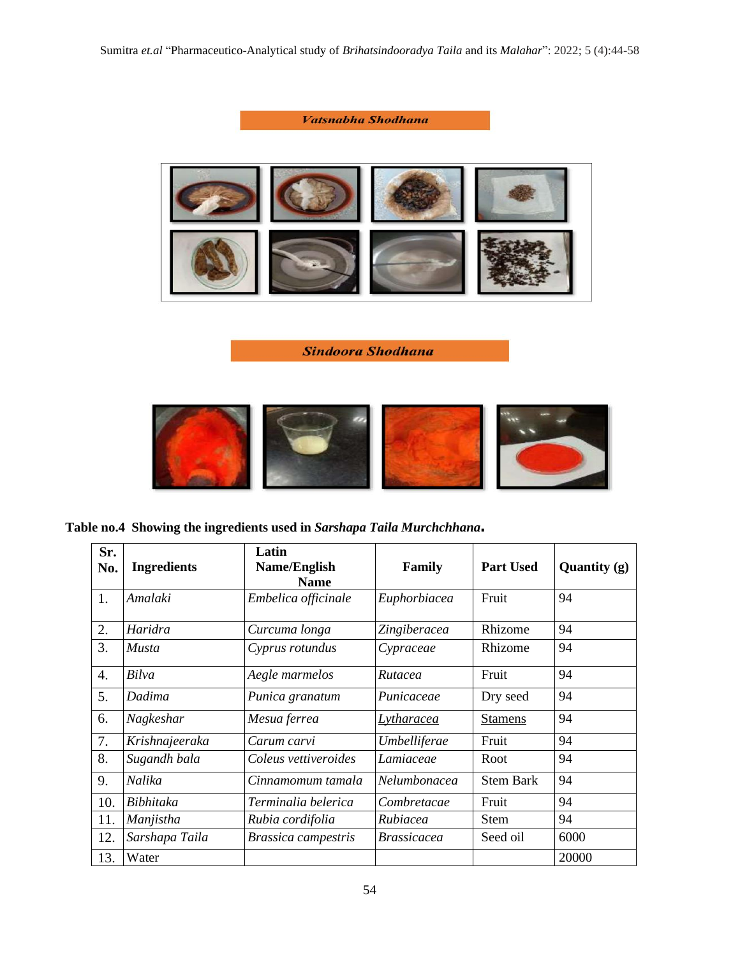

**Sindoora Shodhana** 



**Table no.4 Showing the ingredients used in** *Sarshapa Taila Murchchhana***.**

| Sr.<br>No.       | <b>Ingredients</b> | Latin<br>Name/English<br><b>Name</b> | Family             | <b>Part Used</b> | Quantity (g) |
|------------------|--------------------|--------------------------------------|--------------------|------------------|--------------|
| 1.               | Amalaki            | Embelica officinale                  | Euphorbiacea       | Fruit            | 94           |
| 2.               | Haridra            | Curcuma longa                        | Zingiberacea       | Rhizome          | 94           |
| 3.               | <i>Musta</i>       | Cyprus rotundus                      | Cypraceae          | Rhizome          | 94           |
| $\overline{4}$ . | Bilva              | Aegle marmelos                       | Rutacea            | Fruit            | 94           |
| 5.               | Dadima             | Punica granatum                      | Punicaceae         | Dry seed         | 94           |
| 6.               | Nagkeshar          | Mesua ferrea                         | <b>Lytharacea</b>  | <b>Stamens</b>   | 94           |
| 7.               | Krishnajeeraka     | Carum carvi                          | Umbelliferae       | Fruit            | 94           |
| 8.               | Sugandh bala       | Coleus vettiveroides                 | Lamiaceae          | Root             | 94           |
| 9.               | Nalika             | Cinnamomum tamala                    | Nelumbonacea       | <b>Stem Bark</b> | 94           |
| 10.              | <b>Bibhitaka</b>   | Terminalia belerica                  | Combretacae        | Fruit            | 94           |
| 11.              | Manjistha          | Rubia cordifolia                     | Rubiacea           | <b>Stem</b>      | 94           |
| 12.              | Sarshapa Taila     | <b>Brassica campestris</b>           | <i>Brassicacea</i> | Seed oil         | 6000         |
| 13.              | Water              |                                      |                    |                  | 20000        |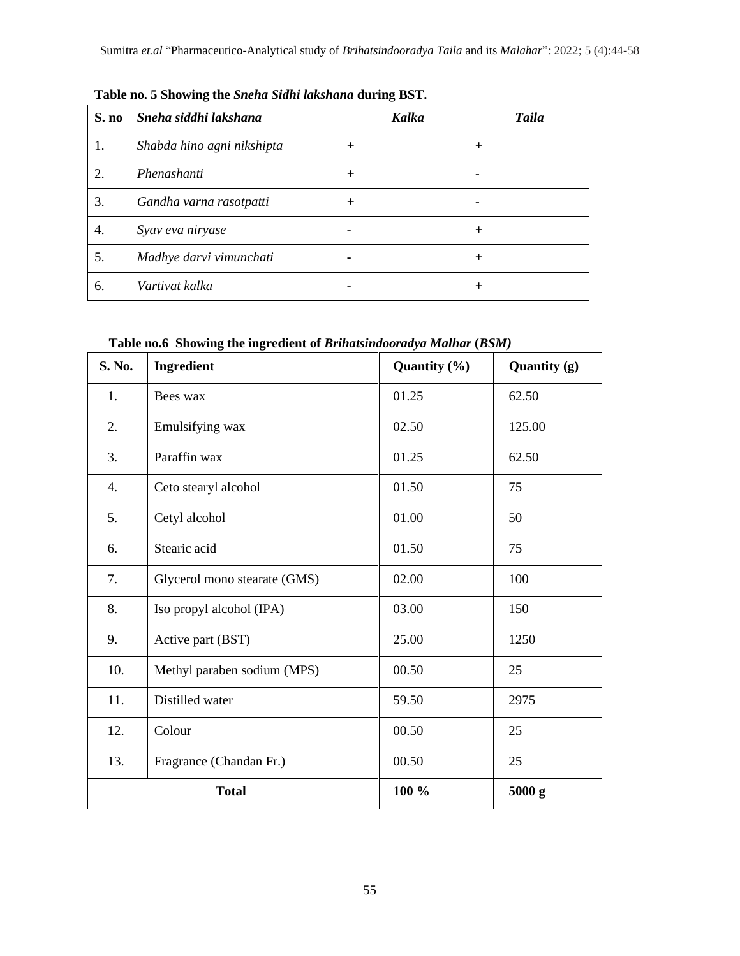| S. no | Sneha siddhi lakshana      | <b>Kalka</b> | <b>Taila</b> |
|-------|----------------------------|--------------|--------------|
| 1.    | Shabda hino agni nikshipta |              |              |
| 2.    | Phenashanti                |              |              |
| 3.    | Gandha varna rasotpatti    |              |              |
| 4.    | Syav eva niryase           |              | ᆠ            |
| 5.    | Madhye darvi vimunchati    |              |              |
| 6.    | Vartivat kalka             |              |              |

**Table no. 5 Showing the** *Sneha Sidhi lakshana* **during BST.**

# **Table no.6 Showing the ingredient of** *Brihatsindooradya Malhar* **(***BSM)*

| S. No.           | Ingredient                   | Quantity (%) | Quantity (g) |
|------------------|------------------------------|--------------|--------------|
| 1.               | Bees wax                     | 01.25        | 62.50        |
| 2.               | Emulsifying wax              | 02.50        | 125.00       |
| 3.               | Paraffin wax                 | 01.25        | 62.50        |
| $\overline{4}$ . | Ceto stearyl alcohol         | 01.50        | 75           |
| 5.               | Cetyl alcohol                | 01.00        | 50           |
| 6.               | Stearic acid                 | 01.50        | 75           |
| 7.               | Glycerol mono stearate (GMS) | 02.00        | 100          |
| 8.               | Iso propyl alcohol (IPA)     | 03.00        | 150          |
| 9.               | Active part (BST)            | 25.00        | 1250         |
| 10.              | Methyl paraben sodium (MPS)  | 00.50        | 25           |
| 11.              | Distilled water              | 59.50        | 2975         |
| 12.              | Colour                       | 00.50        | 25           |
| 13.              | Fragrance (Chandan Fr.)      | 00.50        | 25           |
|                  | <b>Total</b>                 | 100 %        | 5000 g       |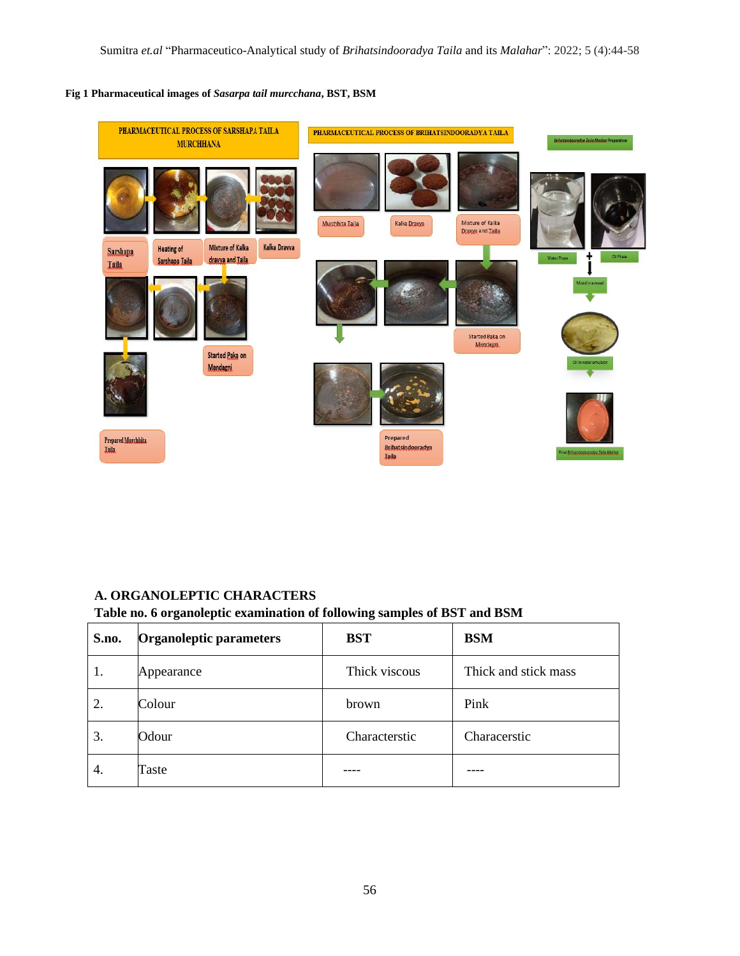## **Fig 1 Pharmaceutical images of** *Sasarpa tail murcchana***, BST, BSM**



# **A. ORGANOLEPTIC CHARACTERS**

## **Table no. 6 organoleptic examination of following samples of BST and BSM**

| S.no. | Organoleptic parameters | <b>BST</b>    | <b>BSM</b>           |
|-------|-------------------------|---------------|----------------------|
| 1.    | Appearance              | Thick viscous | Thick and stick mass |
| 2.    | Colour                  | brown         | Pink                 |
| 3.    | Odour                   | Characterstic | Characerstic         |
| 4.    | Taste                   |               |                      |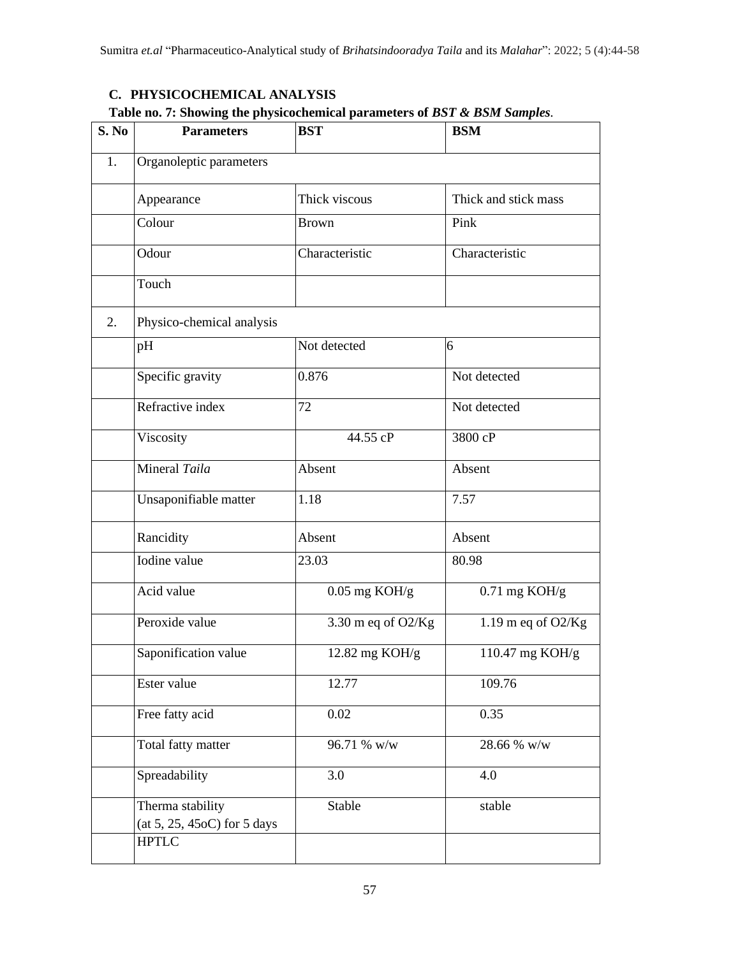# **C. PHYSICOCHEMICAL ANALYSIS**

# **Table no. 7: Showing the physicochemical parameters of** *BST & BSM Samples.*

| S. No | <b>Parameters</b>                               | <b>BST</b>         | <b>BSM</b>           |
|-------|-------------------------------------------------|--------------------|----------------------|
| 1.    | Organoleptic parameters                         |                    |                      |
|       | Appearance                                      | Thick viscous      | Thick and stick mass |
|       | Colour                                          | <b>Brown</b>       | Pink                 |
|       | Odour                                           | Characteristic     | Characteristic       |
|       | Touch                                           |                    |                      |
| 2.    | Physico-chemical analysis                       |                    |                      |
|       | pH                                              | Not detected       | 6                    |
|       | Specific gravity                                | 0.876              | Not detected         |
|       | Refractive index                                | 72                 | Not detected         |
|       | Viscosity                                       | 44.55 cP           | 3800 cP              |
|       | Mineral Taila                                   | Absent             | Absent               |
|       | Unsaponifiable matter                           | 1.18               | 7.57                 |
|       | Rancidity                                       | Absent             | Absent               |
|       | Iodine value                                    | 23.03              | 80.98                |
|       | Acid value                                      | $0.05$ mg KOH/g    | $0.71$ mg KOH/g      |
|       | Peroxide value                                  | 3.30 m eq of O2/Kg | 1.19 m eq of $O2/Kg$ |
|       | Saponification value                            | 12.82 mg KOH/g     | 110.47 mg KOH/g      |
|       | Ester value                                     | 12.77              | 109.76               |
|       | Free fatty acid                                 | 0.02               | 0.35                 |
|       | Total fatty matter                              | 96.71 % w/w        | 28.66 % w/w          |
|       | Spreadability                                   | 3.0                | 4.0                  |
|       | Therma stability<br>(at 5, 25, 45oC) for 5 days | Stable             | stable               |
|       | <b>HPTLC</b>                                    |                    |                      |